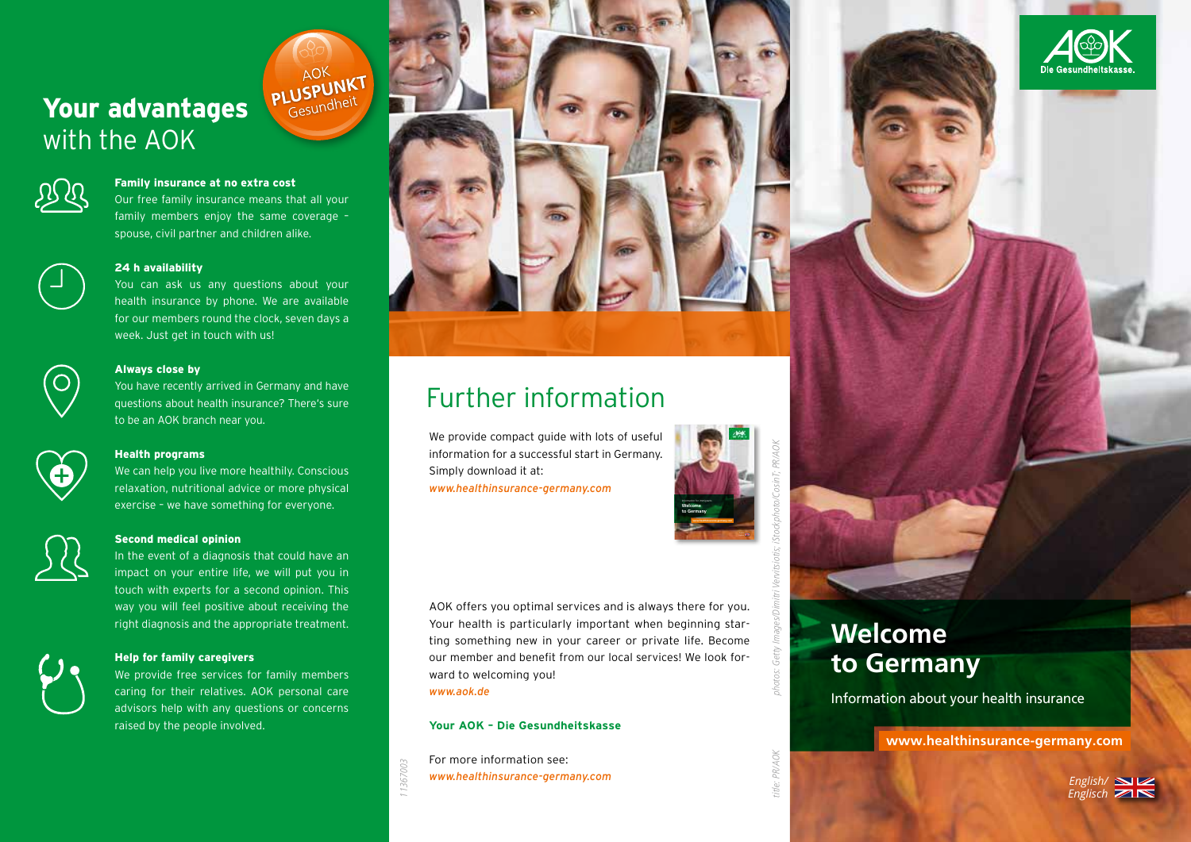# Your advantages with the AOK



### Family insurance at no extra cost

Our free family insurance means that all your family members enjoy the same coverage – spouse, civil partner and children alike.

### 24 h availability

You can ask us any questions about your health insurance by phone. We are available for our members round the clock, seven days a week. Just get in touch with us!



### Always close by

You have recently arrived in Germany and have questions about health insurance? There's sure to be an AOK branch near you.



### Health programs

We can help you live more healthily. Conscious relaxation, nutritional advice or more physical exercise – we have something for everyone.



### Second medical opinion

In the event of a diagnosis that could have an impact on your entire life, we will put you in touch with experts for a second opinion. This way you will feel positive about receiving the right diagnosis and the appropriate treatment.



### Help for family caregivers

We provide free services for family members caring for their relatives. AOK personal care advisors help with any questions or concerns raised by the people involved.



# Further information

We provide compact guide with lots of useful information for a successful start in Germany. Simply download it at: *www.healthinsurance-germany.com*



AOK offers you optimal services and is always there for you. Your health is particularly important when beginning starting something new in your career or private life. Become our member and benefit from our local services! We look forward to welcoming you!

*www.aok.de*

11367003

### **Your AOK – Die Gesundheitskasse**

For more information see: *www.healthinsurance-germany.com*



**Welcome to Germany**

Information about your health insurance

**www.healthinsurance-germany.com**